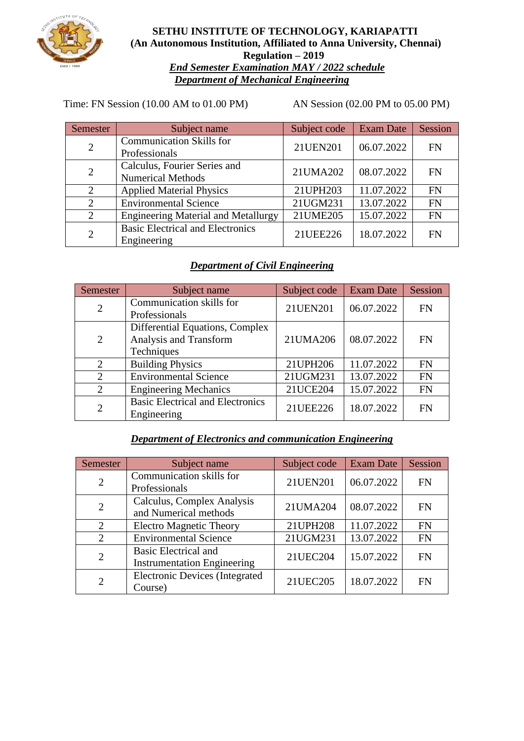

**SETHU INSTITUTE OF TECHNOLOGY, KARIAPATTI (An Autonomous Institution, Affiliated to Anna University, Chennai) Regulation – 2019** *End Semester Examination MAY / 2022 schedule Department of Mechanical Engineering*

Time: FN Session (10.00 AM to 01.00 PM) AN Session (02.00 PM to 05.00 PM)

| Semester       | Subject name                                             | Subject code | <b>Exam Date</b> | Session   |
|----------------|----------------------------------------------------------|--------------|------------------|-----------|
| $\overline{2}$ | <b>Communication Skills for</b><br>Professionals         | 21UEN201     | 06.07.2022       | <b>FN</b> |
| $\overline{2}$ | Calculus, Fourier Series and<br><b>Numerical Methods</b> | 21UMA202     | 08.07.2022       | <b>FN</b> |
| 2              | <b>Applied Material Physics</b>                          | 21UPH203     | 11.07.2022       | <b>FN</b> |
| $\overline{2}$ | <b>Environmental Science</b>                             | 21UGM231     | 13.07.2022       | <b>FN</b> |
| $\overline{2}$ | <b>Engineering Material and Metallurgy</b>               | 21UME205     | 15.07.2022       | <b>FN</b> |
| $\overline{2}$ | <b>Basic Electrical and Electronics</b><br>Engineering   | 21UEE226     | 18.07.2022       | FN        |

# *Department of Civil Engineering*

| Semester       | Subject name                                                            | Subject code | <b>Exam Date</b> | Session   |
|----------------|-------------------------------------------------------------------------|--------------|------------------|-----------|
| $\overline{2}$ | Communication skills for<br>Professionals                               | 21UEN201     | 06.07.2022       | <b>FN</b> |
| 2              | Differential Equations, Complex<br>Analysis and Transform<br>Techniques | 21UMA206     | 08.07.2022       | <b>FN</b> |
| 2              | <b>Building Physics</b>                                                 | 21UPH206     | 11.07.2022       | <b>FN</b> |
| 2              | <b>Environmental Science</b>                                            | 21UGM231     | 13.07.2022       | <b>FN</b> |
| $\overline{2}$ | <b>Engineering Mechanics</b>                                            | 21UCE204     | 15.07.2022       | <b>FN</b> |
| $\overline{2}$ | <b>Basic Electrical and Electronics</b><br>Engineering                  | 21UEE226     | 18.07.2022       | <b>FN</b> |

# *Department of Electronics and communication Engineering*

| Semester                    | Subject name                                                      | Subject code | <b>Exam Date</b> | Session   |
|-----------------------------|-------------------------------------------------------------------|--------------|------------------|-----------|
| $\overline{2}$              | Communication skills for<br>Professionals                         | 21UEN201     | 06.07.2022       | <b>FN</b> |
| $\overline{2}$              | Calculus, Complex Analysis<br>and Numerical methods               | 21UMA204     | 08.07.2022       | <b>FN</b> |
| $\mathcal{D}_{\mathcal{L}}$ | <b>Electro Magnetic Theory</b>                                    | 21UPH208     | 11.07.2022       | <b>FN</b> |
| $\mathcal{D}_{\mathcal{L}}$ | <b>Environmental Science</b>                                      | 21UGM231     | 13.07.2022       | <b>FN</b> |
| $\overline{2}$              | <b>Basic Electrical and</b><br><b>Instrumentation Engineering</b> | 21UEC204     | 15.07.2022       | <b>FN</b> |
| $\overline{2}$              | <b>Electronic Devices (Integrated</b><br>Course)                  | 21UEC205     | 18.07.2022       | <b>FN</b> |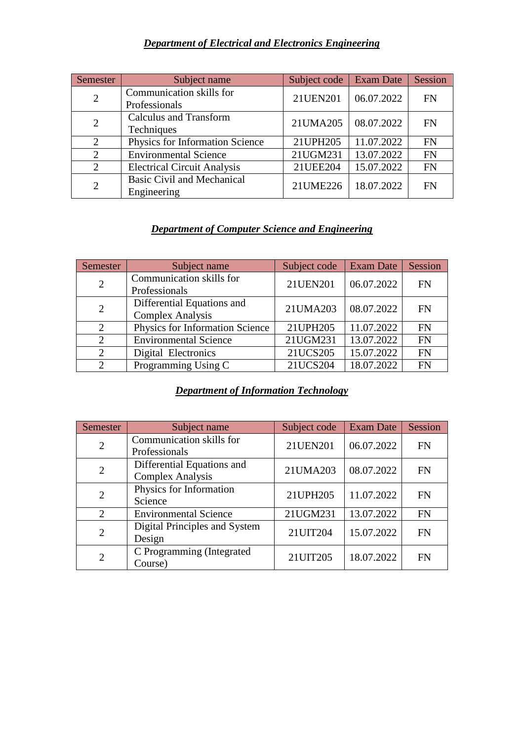### *Department of Electrical and Electronics Engineering*

| Semester       | Subject name                                     | Subject code | <b>Exam Date</b> | Session   |
|----------------|--------------------------------------------------|--------------|------------------|-----------|
| $\overline{2}$ | Communication skills for<br>Professionals        | 21UEN201     | 06.07.2022       | <b>FN</b> |
| $\overline{2}$ | <b>Calculus and Transform</b><br>Techniques      | 21UMA205     | 08.07.2022       | <b>FN</b> |
| 2              | Physics for Information Science                  | 21UPH205     | 11.07.2022       | <b>FN</b> |
| 2              | <b>Environmental Science</b>                     | 21UGM231     | 13.07.2022       | <b>FN</b> |
| 2              | <b>Electrical Circuit Analysis</b>               | 21UEE204     | 15.07.2022       | <b>FN</b> |
| $\overline{2}$ | <b>Basic Civil and Mechanical</b><br>Engineering | 21UME226     | 18.07.2022       | <b>FN</b> |

# *Department of Computer Science and Engineering*

| Semester | Subject name                                          | Subject code | <b>Exam Date</b> | Session   |
|----------|-------------------------------------------------------|--------------|------------------|-----------|
| 2        | Communication skills for<br>Professionals             | 21UEN201     | 06.07.2022       | <b>FN</b> |
| 2        | Differential Equations and<br><b>Complex Analysis</b> | 21UMA203     | 08.07.2022       | <b>FN</b> |
| 2        | Physics for Information Science                       | 21UPH205     | 11.07.2022       | <b>FN</b> |
| 2        | <b>Environmental Science</b>                          | 21UGM231     | 13.07.2022       | <b>FN</b> |
| 2        | Digital Electronics                                   | 21UCS205     | 15.07.2022       | <b>FN</b> |
| 2        | Programming Using C                                   | 21UCS204     | 18.07.2022       | <b>FN</b> |

#### *Department of Information Technology*

| Semester                    | Subject name                                          | Subject code | <b>Exam Date</b> | Session   |
|-----------------------------|-------------------------------------------------------|--------------|------------------|-----------|
| 2                           | Communication skills for<br>Professionals             | 21UEN201     | 06.07.2022       | <b>FN</b> |
| $\overline{2}$              | Differential Equations and<br><b>Complex Analysis</b> | 21UMA203     | 08.07.2022       | <b>FN</b> |
| $\overline{2}$              | Physics for Information<br>Science                    | 21UPH205     | 11.07.2022       | <b>FN</b> |
| $\mathcal{D}_{\mathcal{L}}$ | <b>Environmental Science</b>                          | 21UGM231     | 13.07.2022       | <b>FN</b> |
| $\overline{2}$              | Digital Principles and System<br>Design               | 21UIT204     | 15.07.2022       | <b>FN</b> |
| $\overline{2}$              | C Programming (Integrated<br>Course)                  | 21UIT205     | 18.07.2022       | <b>FN</b> |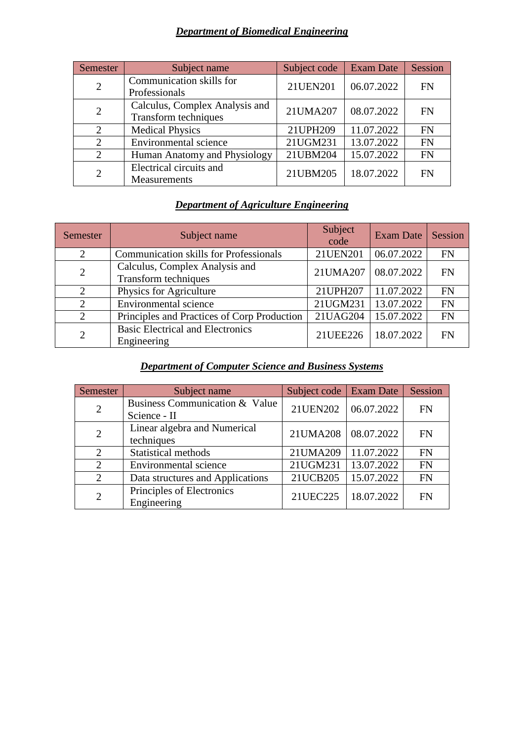# *Department of Biomedical Engineering*

| Semester                    | Subject name                                           | Subject code | <b>Exam Date</b> | Session   |
|-----------------------------|--------------------------------------------------------|--------------|------------------|-----------|
| 2                           | Communication skills for<br>Professionals              | 21UEN201     | 06.07.2022       | <b>FN</b> |
| 2                           | Calculus, Complex Analysis and<br>Transform techniques | 21UMA207     | 08.07.2022       | <b>FN</b> |
| 2                           | <b>Medical Physics</b>                                 | 21UPH209     | 11.07.2022       | <b>FN</b> |
| 2                           | <b>Environmental</b> science                           | 21UGM231     | 13.07.2022       | <b>FN</b> |
| $\mathcal{D}_{\mathcal{L}}$ | Human Anatomy and Physiology                           | 21UBM204     | 15.07.2022       | <b>FN</b> |
| 2                           | Electrical circuits and<br>Measurements                | 21UBM205     | 18.07.2022       | <b>FN</b> |

# *Department of Agriculture Engineering*

| Semester       | Subject name                                           | Subject<br>code | <b>Exam Date</b> | Session   |
|----------------|--------------------------------------------------------|-----------------|------------------|-----------|
| $\overline{2}$ | <b>Communication skills for Professionals</b>          | 21UEN201        | 06.07.2022       | <b>FN</b> |
| $\overline{2}$ | Calculus, Complex Analysis and<br>Transform techniques | 21UMA207        | 08.07.2022       | <b>FN</b> |
| 2              | Physics for Agriculture                                | 21UPH207        | 11.07.2022       | <b>FN</b> |
| $\overline{2}$ | Environmental science                                  | 21UGM231        | 13.07.2022       | <b>FN</b> |
| $\overline{2}$ | Principles and Practices of Corp Production            | 21UAG204        | 15.07.2022       | <b>FN</b> |
| $\overline{2}$ | <b>Basic Electrical and Electronics</b><br>Engineering | 21UEE226        | 18.07.2022       | <b>FN</b> |

### *Department of Computer Science and Business Systems*

| Semester       | Subject name                     | Subject code   Exam Date |            | Session   |
|----------------|----------------------------------|--------------------------|------------|-----------|
| $\overline{2}$ | Business Communication & Value   | 21UEN202                 | 06.07.2022 | <b>FN</b> |
|                | Science - II                     |                          |            |           |
| $\overline{2}$ | Linear algebra and Numerical     | 21UMA208                 | 08.07.2022 | <b>FN</b> |
|                | techniques                       |                          |            |           |
| $\overline{2}$ | Statistical methods              | 21UMA209                 | 11.07.2022 | <b>FN</b> |
| 2              | Environmental science            | 21UGM231                 | 13.07.2022 | <b>FN</b> |
| $\overline{2}$ | Data structures and Applications | 21UCB205                 | 15.07.2022 | <b>FN</b> |
| $\overline{2}$ | Principles of Electronics        | 21UEC225                 | 18.07.2022 | <b>FN</b> |
|                | Engineering                      |                          |            |           |